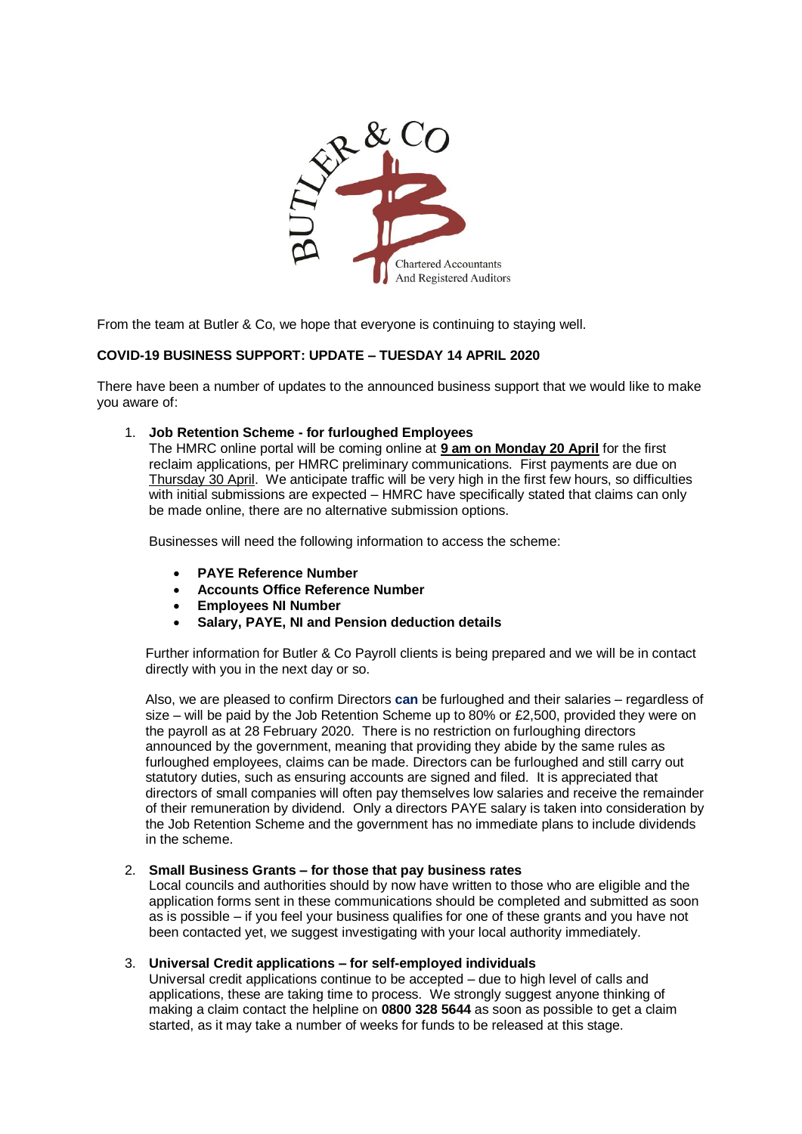

From the team at Butler & Co, we hope that everyone is continuing to staying well.

# **COVID-19 BUSINESS SUPPORT: UPDATE – TUESDAY 14 APRIL 2020**

There have been a number of updates to the announced business support that we would like to make you aware of:

#### 1. **Job Retention Scheme - for furloughed Employees**

The HMRC online portal will be coming online at **9 am on Monday 20 April** for the first reclaim applications, per HMRC preliminary communications. First payments are due on Thursday 30 April. We anticipate traffic will be very high in the first few hours, so difficulties with initial submissions are expected – HMRC have specifically stated that claims can only be made online, there are no alternative submission options.

Businesses will need the following information to access the scheme:

- **PAYE Reference Number**
- **Accounts Office Reference Number**
- **Employees NI Number**
- **Salary, PAYE, NI and Pension deduction details**

Further information for Butler & Co Payroll clients is being prepared and we will be in contact directly with you in the next day or so.

Also, we are pleased to confirm Directors **can** be furloughed and their salaries – regardless of size – will be paid by the Job Retention Scheme up to 80% or £2,500, provided they were on the payroll as at 28 February 2020. There is no restriction on furloughing directors announced by the government, meaning that providing they abide by the same rules as furloughed employees, claims can be made. Directors can be furloughed and still carry out statutory duties, such as ensuring accounts are signed and filed. It is appreciated that directors of small companies will often pay themselves low salaries and receive the remainder of their remuneration by dividend. Only a directors PAYE salary is taken into consideration by the Job Retention Scheme and the government has no immediate plans to include dividends in the scheme.

#### 2. **Small Business Grants – for those that pay business rates**

Local councils and authorities should by now have written to those who are eligible and the application forms sent in these communications should be completed and submitted as soon as is possible – if you feel your business qualifies for one of these grants and you have not been contacted yet, we suggest investigating with your local authority immediately.

### 3. **Universal Credit applications – for self-employed individuals**

Universal credit applications continue to be accepted – due to high level of calls and applications, these are taking time to process. We strongly suggest anyone thinking of making a claim contact the helpline on **0800 328 5644** as soon as possible to get a claim started, as it may take a number of weeks for funds to be released at this stage.